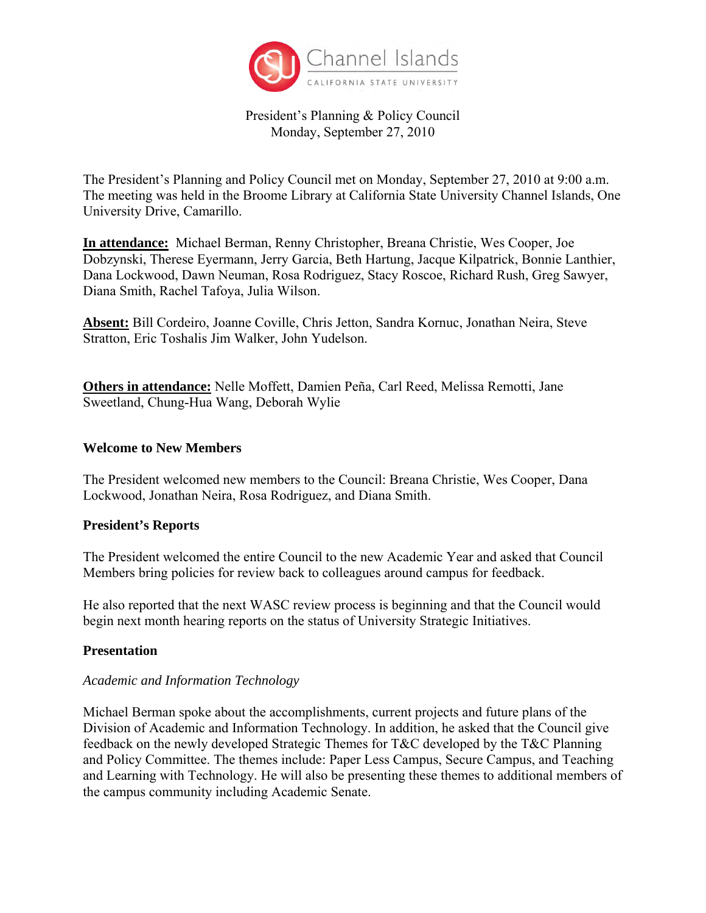

# President's Planning & Policy Council Monday, September 27, 2010

The President's Planning and Policy Council met on Monday, September 27, 2010 at 9:00 a.m. The meeting was held in the Broome Library at California State University Channel Islands, One University Drive, Camarillo.

**In attendance:** Michael Berman, Renny Christopher, Breana Christie, Wes Cooper, Joe Dobzynski, Therese Eyermann, Jerry Garcia, Beth Hartung, Jacque Kilpatrick, Bonnie Lanthier, Dana Lockwood, Dawn Neuman, Rosa Rodriguez, Stacy Roscoe, Richard Rush, Greg Sawyer, Diana Smith, Rachel Tafoya, Julia Wilson.

**Absent:** Bill Cordeiro, Joanne Coville, Chris Jetton, Sandra Kornuc, Jonathan Neira, Steve Stratton, Eric Toshalis Jim Walker, John Yudelson.

**Others in attendance:** Nelle Moffett, Damien Peña, Carl Reed, Melissa Remotti, Jane Sweetland, Chung-Hua Wang, Deborah Wylie

### **Welcome to New Members**

The President welcomed new members to the Council: Breana Christie, Wes Cooper, Dana Lockwood, Jonathan Neira, Rosa Rodriguez, and Diana Smith.

# **President's Reports**

The President welcomed the entire Council to the new Academic Year and asked that Council Members bring policies for review back to colleagues around campus for feedback.

He also reported that the next WASC review process is beginning and that the Council would begin next month hearing reports on the status of University Strategic Initiatives.

#### **Presentation**

#### *Academic and Information Technology*

Michael Berman spoke about the accomplishments, current projects and future plans of the Division of Academic and Information Technology. In addition, he asked that the Council give feedback on the newly developed Strategic Themes for T&C developed by the T&C Planning and Policy Committee. The themes include: Paper Less Campus, Secure Campus, and Teaching and Learning with Technology. He will also be presenting these themes to additional members of the campus community including Academic Senate.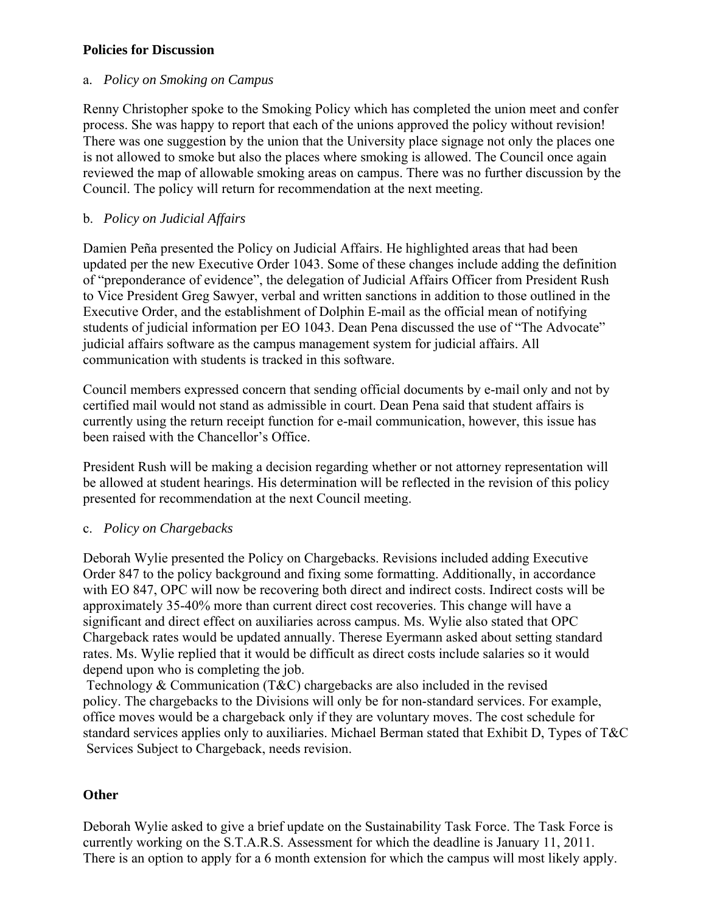## **Policies for Discussion**

## a. *Policy on Smoking on Campus*

Renny Christopher spoke to the Smoking Policy which has completed the union meet and confer process. She was happy to report that each of the unions approved the policy without revision! There was one suggestion by the union that the University place signage not only the places one is not allowed to smoke but also the places where smoking is allowed. The Council once again reviewed the map of allowable smoking areas on campus. There was no further discussion by the Council. The policy will return for recommendation at the next meeting.

## b. *Policy on Judicial Affairs*

Damien Peña presented the Policy on Judicial Affairs. He highlighted areas that had been updated per the new Executive Order 1043. Some of these changes include adding the definition of "preponderance of evidence", the delegation of Judicial Affairs Officer from President Rush to Vice President Greg Sawyer, verbal and written sanctions in addition to those outlined in the Executive Order, and the establishment of Dolphin E-mail as the official mean of notifying students of judicial information per EO 1043. Dean Pena discussed the use of "The Advocate" judicial affairs software as the campus management system for judicial affairs. All communication with students is tracked in this software.

Council members expressed concern that sending official documents by e-mail only and not by certified mail would not stand as admissible in court. Dean Pena said that student affairs is currently using the return receipt function for e-mail communication, however, this issue has been raised with the Chancellor's Office.

President Rush will be making a decision regarding whether or not attorney representation will be allowed at student hearings. His determination will be reflected in the revision of this policy presented for recommendation at the next Council meeting.

#### c. *Policy on Chargebacks*

Deborah Wylie presented the Policy on Chargebacks. Revisions included adding Executive Order 847 to the policy background and fixing some formatting. Additionally, in accordance with EO 847, OPC will now be recovering both direct and indirect costs. Indirect costs will be approximately 35-40% more than current direct cost recoveries. This change will have a significant and direct effect on auxiliaries across campus. Ms. Wylie also stated that OPC Chargeback rates would be updated annually. Therese Eyermann asked about setting standard rates. Ms. Wylie replied that it would be difficult as direct costs include salaries so it would depend upon who is completing the job.

Technology & Communication (T&C) chargebacks are also included in the revised policy. The chargebacks to the Divisions will only be for non-standard services. For example, office moves would be a chargeback only if they are voluntary moves. The cost schedule for standard services applies only to auxiliaries. Michael Berman stated that Exhibit D, Types of T&C Services Subject to Chargeback, needs revision.

# **Other**

Deborah Wylie asked to give a brief update on the Sustainability Task Force. The Task Force is currently working on the S.T.A.R.S. Assessment for which the deadline is January 11, 2011. There is an option to apply for a 6 month extension for which the campus will most likely apply.